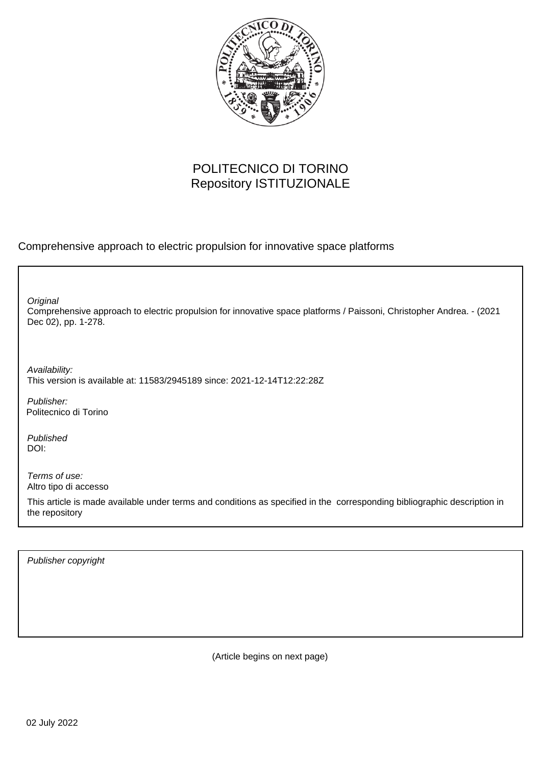

## POLITECNICO DI TORINO Repository ISTITUZIONALE

Comprehensive approach to electric propulsion for innovative space platforms

Comprehensive approach to electric propulsion for innovative space platforms / Paissoni, Christopher Andrea. - (2021 Dec 02), pp. 1-278. **Original** 

Availability: This version is available at: 11583/2945189 since: 2021-12-14T12:22:28Z

Publisher: Politecnico di Torino

Published DOI:

Terms of use: Altro tipo di accesso

This article is made available under terms and conditions as specified in the corresponding bibliographic description in the repository

Publisher copyright

(Article begins on next page)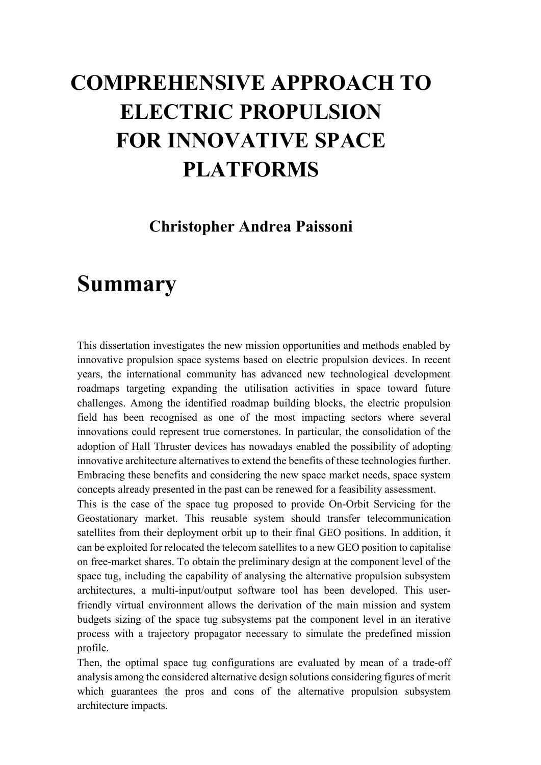## **COMPREHENSIVE APPROACH TO ELECTRIC PROPULSION FOR INNOVATIVE SPACE PLATFORMS**

## **Christopher Andrea Paissoni**

## **Summary**

This dissertation investigates the new mission opportunities and methods enabled by innovative propulsion space systems based on electric propulsion devices. In recent years, the international community has advanced new technological development roadmaps targeting expanding the utilisation activities in space toward future challenges. Among the identified roadmap building blocks, the electric propulsion field has been recognised as one of the most impacting sectors where several innovations could represent true cornerstones. In particular, the consolidation of the adoption of Hall Thruster devices has nowadays enabled the possibility of adopting innovative architecture alternatives to extend the benefits of these technologies further. Embracing these benefits and considering the new space market needs, space system concepts already presented in the past can be renewed for a feasibility assessment.

This is the case of the space tug proposed to provide On-Orbit Servicing for the Geostationary market. This reusable system should transfer telecommunication satellites from their deployment orbit up to their final GEO positions. In addition, it can be exploited for relocated the telecom satellites to a new GEO position to capitalise on free-market shares. To obtain the preliminary design at the component level of the space tug, including the capability of analysing the alternative propulsion subsystem architectures, a multi-input/output software tool has been developed. This userfriendly virtual environment allows the derivation of the main mission and system budgets sizing of the space tug subsystems pat the component level in an iterative process with a trajectory propagator necessary to simulate the predefined mission profile.

Then, the optimal space tug configurations are evaluated by mean of a trade-off analysis among the considered alternative design solutions considering figures of merit which guarantees the pros and cons of the alternative propulsion subsystem architecture impacts.